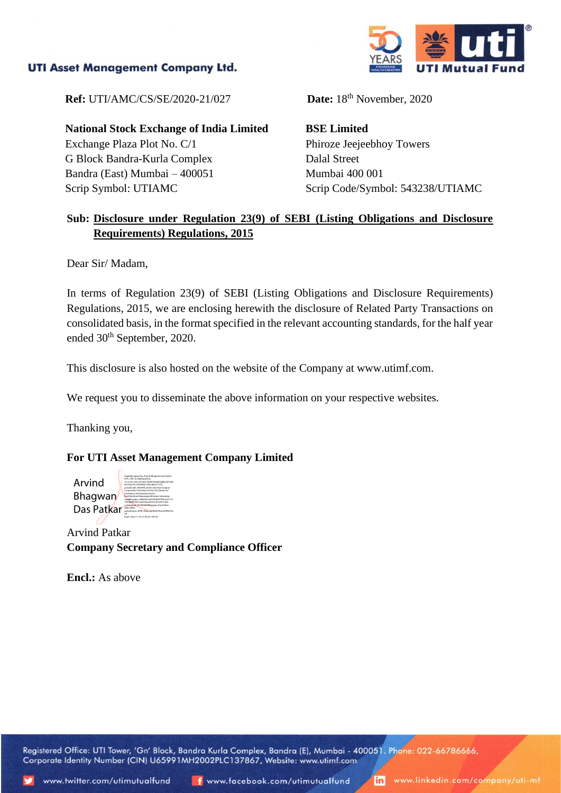### **UTI Asset Management Company Ltd.**



**Ref:** UTI/AMC/CS/SE/2020-21/027

**National Stock Exchange of India Limited** Exchange Plaza Plot No. C/1 G Block Bandra-Kurla Complex Bandra (East) Mumbai – 400051 Scrip Symbol: UTIAMC

Date: 18<sup>th</sup> November, 2020

**BSE Limited** Phiroze Jeejeebhoy Towers Dalal Street Mumbai 400 001 Scrip Code/Symbol: 543238/UTIAMC

# **Sub: Disclosure under Regulation 23(9) of SEBI (Listing Obligations and Disclosure Requirements) Regulations, 2015**

Dear Sir/ Madam,

In terms of Regulation 23(9) of SEBI (Listing Obligations and Disclosure Requirements) Regulations, 2015, we are enclosing herewith the disclosure of Related Party Transactions on consolidated basis, in the format specified in the relevant accounting standards, for the half year ended 30<sup>th</sup> September, 2020.

This disclosure is also hosted on the website of the Company at www.utimf.com.

We request you to disseminate the above information on your respective websites.

Thanking you,

## **For UTI Asset Management Company Limited**

Arvind Bhagwan Das Patkar Digitally signed by Arvind Bhagwan Das Patkar DN: c=IN, st=Maharashtra, 2.5.4.20=c30ccd75a51eb45f336afe0d8bce6732b b610cb73cc43566b01305c6b013137f, postalCode=400098, street=602 Nav Swapna Cooperative Housing Society Ltd.,Santacruz Chembur Link Road,Santacruz East,Mumbai,Vidyanagari,Mumbai Suburban, serialNumber=38920ba765033dd47f93c0cf11c5 75546b0f1f551dcb03acd2341e61a457149a, o=Personal, cn=Arvind Bhagwan Das Patkar, title=0804, pseudonym=9f9fc7fdbce4e9b6678ca7e099a70a Date: 2020.11.18 17:03:29 +05'30'

Arvind Patkar **Company Secretary and Compliance Officer**

**Encl.:** As above

Registered Office: UTI Tower, 'Gn' Block, Bandra Kurla Complex, Bandra (E), Mumbai - 400051. Phone: 022-66786666, Corporate Identity Number (CIN) U65991MH2002PLC137867, Website: www.utimf.com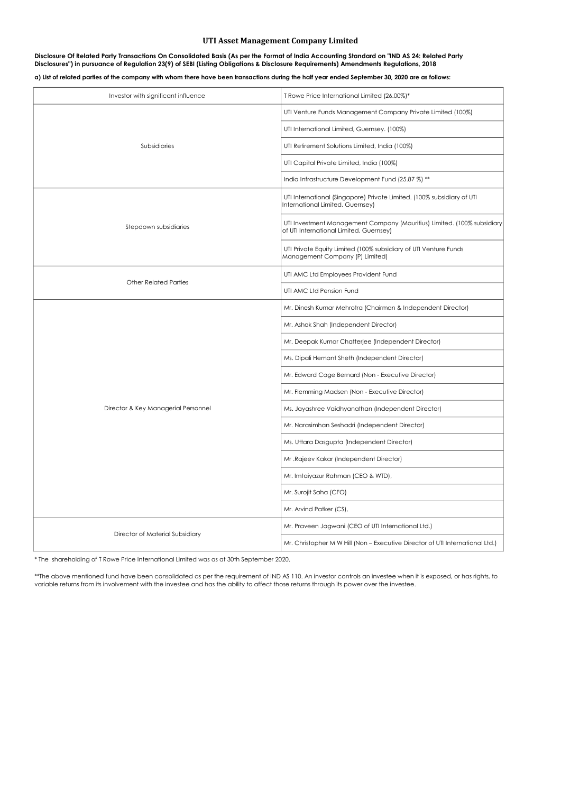#### a) List of related parties of the company with whom there have been transactions during the half year ended September 30, 2020 are as follows:

## UTI Asset Management Company Limited

| Investor with significant influence | T Rowe Price International Limited (26.00%)*                                                                       |  |
|-------------------------------------|--------------------------------------------------------------------------------------------------------------------|--|
|                                     | UTI Venture Funds Management Company Private Limited (100%)                                                        |  |
|                                     | UTI International Limited, Guernsey. (100%)                                                                        |  |
| Subsidiaries                        | UTI Retirement Solutions Limited, India (100%)                                                                     |  |
|                                     | UTI Capital Private Limited, India (100%)                                                                          |  |
|                                     | India Infrastructure Development Fund (25.87 %) **                                                                 |  |
|                                     | UTI International (Singapore) Private Limited. (100% subsidiary of UTI<br>International Limited, Guernsey)         |  |
| Stepdown subsidiaries               | UTI Investment Management Company (Mauritius) Limited. (100% subsidiary<br>of UTI International Limited, Guernsey) |  |
|                                     | UTI Private Equity Limited (100% subsidiary of UTI Venture Funds<br>Management Company (P) Limited)                |  |
|                                     | UTI AMC Ltd Employees Provident Fund                                                                               |  |
| <b>Other Related Parties</b>        | UTI AMC Ltd Pension Fund                                                                                           |  |
|                                     | Mr. Dinesh Kumar Mehrotra (Chairman & Independent Director)                                                        |  |
|                                     | Mr. Ashok Shah (Independent Director)                                                                              |  |
|                                     | Mr. Deepak Kumar Chatterjee (Independent Director)                                                                 |  |
|                                     | Ms. Dipali Hemant Sheth (Independent Director)                                                                     |  |
|                                     | Mr. Edward Cage Bernard (Non - Executive Director)                                                                 |  |
|                                     | Mr. Flemming Madsen (Non - Executive Director)                                                                     |  |
| Director & Key Managerial Personnel | Ms. Jayashree Vaidhyanathan (Independent Director)                                                                 |  |
|                                     | Mr. Narasimhan Seshadri (Independent Director)                                                                     |  |
|                                     | Ms. Uttara Dasgupta (Independent Director)                                                                         |  |
|                                     | Mr.Rajeev Kakar (Independent Director)                                                                             |  |
|                                     | Mr. Imtaiyazur Rahman (CEO & WTD),                                                                                 |  |
|                                     | Mr. Surojit Saha (CFO)                                                                                             |  |
|                                     | Mr. Arvind Patker (CS),                                                                                            |  |
| Director of Material Subsidiary     | Mr. Praveen Jagwani (CEO of UTI International Ltd.)                                                                |  |
|                                     | Mr. Christopher M W Hill (Non - Executive Director of UTI International Ltd.)                                      |  |

\*\*The above mentioned fund have been consolidated as per the requirement of IND AS 110. An investor controls an investee when it is exposed, or has rights, to variable returns from its involvement with the investee and has the ability to affect those returns through its power over the investee.

### Disclosure Of Related Party Transactions On Consolidated Basis (As per the Format of India Accounting Standard on "IND AS 24: Related Party Disclosures") in pursuance of Regulation 23(9) of SEBI (Listing Obligations & Disclosure Requirements) Amendments Regulations, 2018

\* The shareholding of T Rowe Price International Limited was as at 30th September 2020.